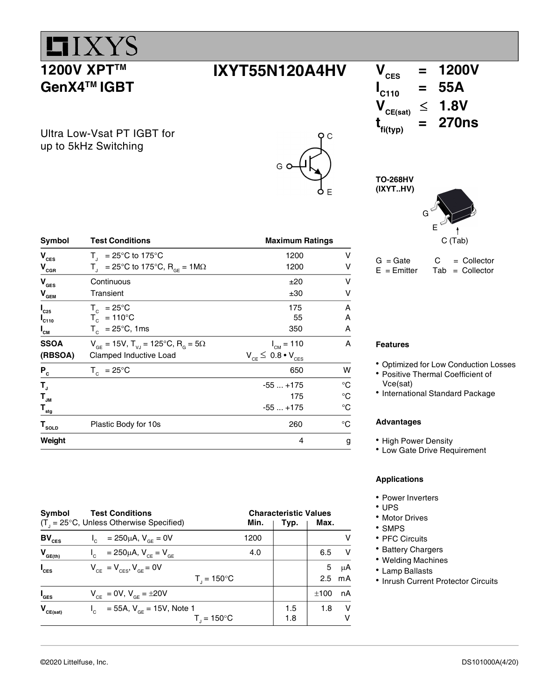

GenX4TM IGBT

### $IXYT55N120A4HV$   $V_{CES}$  = 1200V

Ultra Low-Vsat PT IGBT for up to 5kHz Switching



### $I_{\text{C110}} = 55A$ <br> $V_{\text{CE(sat)}} \leq 1.8V$  $\leq$  1.8V  $t_{\text{fi(typ)}}$  $= 270ns$

TO-268HV (IXYT..HV)



 $G = Gate$   $C = Collector$  $E = E$ mitter Tab = Collector

| Symbol                      | <b>Test Conditions</b>                                               | <b>Maximum Ratings</b>          |             |
|-----------------------------|----------------------------------------------------------------------|---------------------------------|-------------|
| $\mathbf{V}_{\mathrm{CES}}$ | $T_{1}$ = 25°C to 175°C                                              | 1200                            | v           |
| $V_{CBR}$                   | $T_{\text{d}}$ = 25°C to 175°C, R <sub>GF</sub> = 1M $\Omega$        | 1200                            | v           |
| $V_{\text{GES}}$            | Continuous                                                           | ±20                             | v           |
| $V_{\text{GEM}}$            | Transient                                                            | ±30                             | v           |
| $I_{C25}$                   | $T_c = 25^{\circ}C$                                                  | 175                             | A           |
| $I_{C110}$                  | $T_c = 110^{\circ}C$                                                 | 55                              | A           |
| $I_{CM}$                    | $T_c$ = 25°C, 1ms                                                    | 350                             | A           |
| <b>SSOA</b>                 | $V_{GE}$ = 15V, T <sub>vJ</sub> = 125°C, R <sub>G</sub> = 5 $\Omega$ | $I_{CM} = 110$                  | A           |
| (RBSOA)                     | Clamped Inductive Load                                               | $V_{CE} \leq 0.8 \cdot V_{CES}$ |             |
| $P_c$                       | $T_c = 25^{\circ}C$                                                  | 650                             | W           |
| $T_{\rm J}$                 |                                                                      | $-55+175$                       | °C          |
| $\mathsf{T}_{\mathsf{JM}}$  |                                                                      | 175                             | $^{\circ}C$ |
| $T_{\underline{\tiny sig}}$ |                                                                      | $-55+175$                       | $^{\circ}C$ |
| $\mathbf{T}_{\text{solD}}$  | Plastic Body for 10s                                                 | 260                             | °C          |
| Weight                      |                                                                      | 4                               | g           |

Features

- Optimized for Low Conduction Losses
- Positive Thermal Coefficient of Vce(sat)
- International Standard Package

### Advantages

- High Power Density
- Low Gate Drive Requirement

### Applications

- Power Inverters
- UPS
- Motor Drives
- SMPS
- PFC Circuits
- Battery Chargers
- Welding Machines
- Lamp Ballasts
- Inrush Current Protector Circuits

| Symbol           | <b>Test Conditions</b>                                      |      | <b>Characteristic Values</b> |      |    |
|------------------|-------------------------------------------------------------|------|------------------------------|------|----|
|                  | $(T_{\text{I}} = 25^{\circ}C$ , Unless Otherwise Specified) | Min. | Typ.                         | Max. |    |
| $BV_{CES}$       | $I_c = 250 \mu A$ , $V_{BF} = 0V$                           | 1200 |                              |      |    |
| $V_{GE(th)}$     | = 250μA, V <sub>CE</sub> = V <sub>GE</sub><br>$I_{\rm c}$   | 4.0  |                              | 6.5  | v  |
| $I_{\text{CES}}$ | $V_{CF} = V_{CFS}$ , $V_{GF} = 0V$                          |      |                              | 5    | μA |
|                  | $T_{1} = 150^{\circ}C$                                      |      |                              | 2.5  | mA |
| I <sub>ges</sub> | $V_{CF} = 0V, V_{GF} = \pm 20V$                             |      |                              | ±100 | nA |
| $V_{CE(sat)}$    | $I_c = 55A$ , $V_{cF} = 15V$ , Note 1                       |      | 1.5                          | 1.8  | v  |
|                  | $T_{1} = 150^{\circ}C$                                      |      | 1.8                          |      | v  |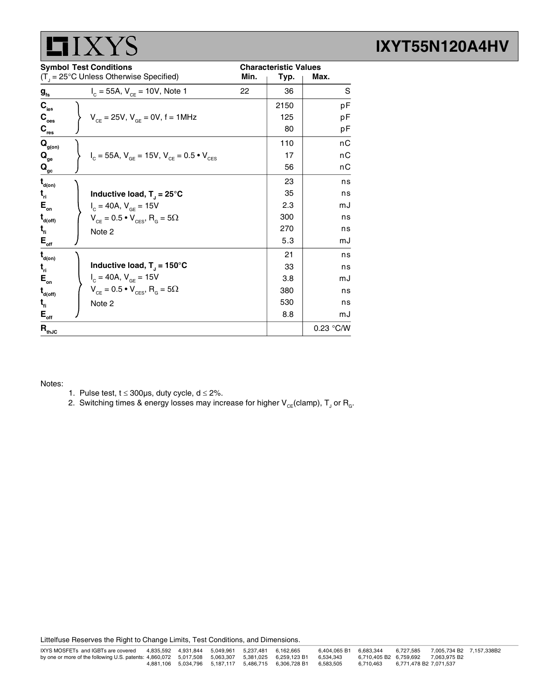

| <b>Symbol Test Conditions</b>          |                                                             | <b>Characteristic Values</b> |      |           |
|----------------------------------------|-------------------------------------------------------------|------------------------------|------|-----------|
|                                        | $(T_{\perp} = 25^{\circ}C$ Unless Otherwise Specified)      | Min.                         | Typ. | Max.      |
| $\boldsymbol{g}_{\text{fs}}$           | $I_c = 55A$ , $V_{cF} = 10V$ , Note 1                       | 22                           | 36   | S         |
| $C_{\rm ies}$                          |                                                             |                              | 2150 | рF        |
| $\mathbf{C}_\mathrm{oes}$              | $V_{CF} = 25V$ , $V_{GF} = 0V$ , f = 1MHz                   |                              | 125  | рF        |
| $\mathbf{C}_{\text{res}}$              |                                                             |                              | 80   | рF        |
| $\mathbf{Q}_{\text{g(on)}}$            |                                                             |                              | 110  | nС        |
| $\mathbf{Q}_{_{\mathbf{ge}}}$          | $I_c = 55A$ , $V_{GE} = 15V$ , $V_{CE} = 0.5 \cdot V_{CES}$ |                              | 17   | nС        |
| $\mathbf{Q}_{\underline{\mathrm{gc}}}$ |                                                             |                              | 56   | nС        |
| $\mathbf{t}_{\mathsf{d}(\mathsf{on})}$ |                                                             |                              | 23   | ns        |
| $t_{\rm n}$                            | Inductive load, $T_1 = 25^{\circ}C$                         |                              | 35   | ns        |
| $E_{\rm on}$                           | $I_c = 40A$ , $V_{GE} = 15V$                                |                              | 2.3  | mJ        |
| $t_{\text{\tiny{d(off)}}}$             | $V_{CE} = 0.5 \cdot V_{CES}$ , R <sub>G</sub> = 5 $\Omega$  |                              | 300  | ns        |
| $t_{\rm fl}$                           | Note 2                                                      |                              | 270  | ns        |
| $E_{\text{off}}$                       |                                                             |                              | 5.3  | mJ        |
| $\mathbf{t}_{\mathsf{d}(\mathsf{on})}$ |                                                             |                              | 21   | ns        |
| $t_{\rm n}$                            | Inductive load, $T_{J} = 150^{\circ}$ C                     |                              | 33   | ns        |
| $E_{\rm on}$                           | $I_c = 40A$ , $V_{GE} = 15V$                                |                              | 3.8  | mJ        |
| $t_{\text{\tiny{d(off)}}}$             | $V_{CE} = 0.5 \cdot V_{CES}$ , R <sub>G</sub> = 5 $\Omega$  |                              | 380  | ns        |
| $t_{\rm fl}$                           | Note 2                                                      |                              | 530  | ns        |
| $E_{\text{off}}$                       |                                                             |                              | 8.8  | mJ        |
| $R_{thJC}$                             |                                                             |                              |      | 0.23 °C/W |

Notes:

- 1. Pulse test,  $t \le 300 \mu s$ , duty cycle,  $d \le 2\%$ .
- 2. Switching times & energy losses may increase for higher  $\mathsf{V}_{\mathsf{CE}}$ (clamp),  $\mathsf{T}_{\mathsf{J}}$  or  $\mathsf{R}_{\mathsf{G}}$ .

Littelfuse Reserves the Right to Change Limits, Test Conditions, and Dimensions.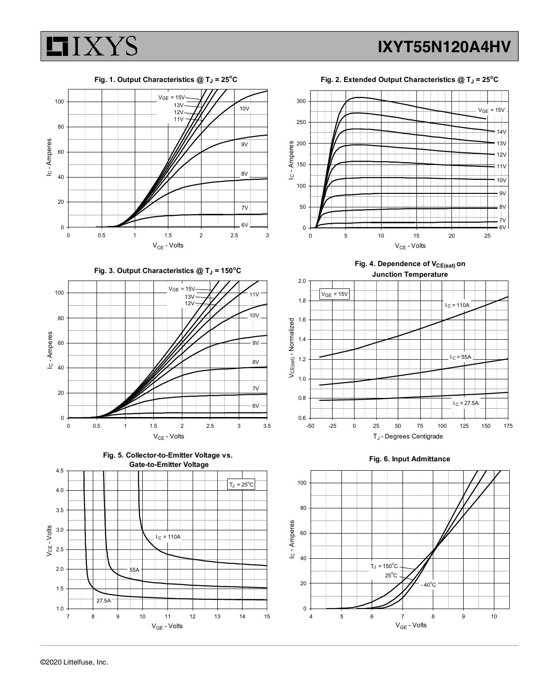

Fig. 3. Output Characteristics  $@T_J = 150°C$ 







Fig. 2. Extended Output Characteristics  $@T_J = 25^\circ C$ 



Fig. 4. Dependence of V<sub>CE(sat)</sub> on Junction Temperature



Fig. 6. Input Admittance

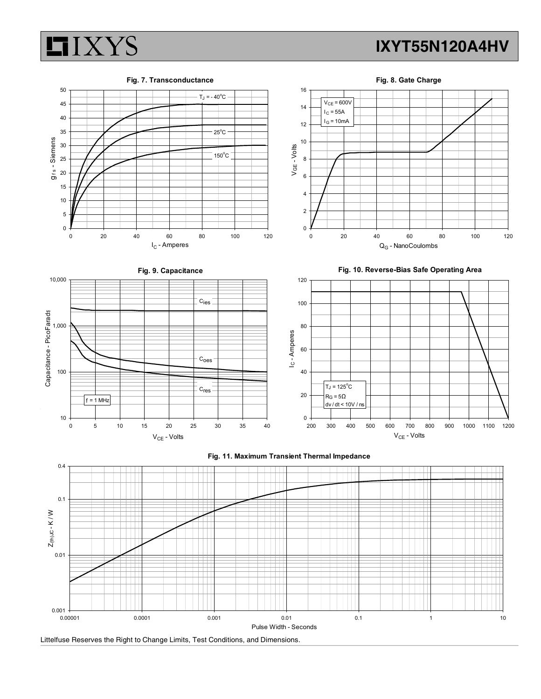

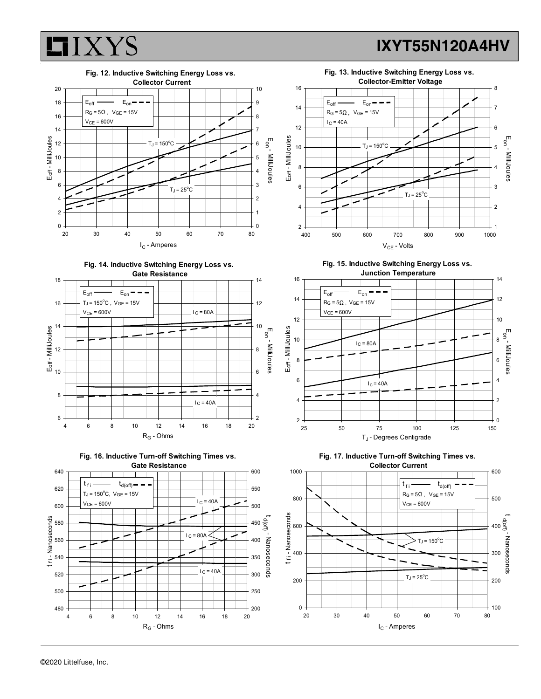I<sub>C</sub> - Amperes

 $\overline{0}$ 

d(off) - Nanoseconds

 $\overline{a}$  the state  $\overline{a}$ 

2

4

6

Eon - MilliJoules

 $8<sup>-1</sup>$ 

10

12

14

1

2

3

 $4\overline{0}$ 

Eon - MilliJoules

 $5^{\circ}$ 

6

7

8



RG - Ohms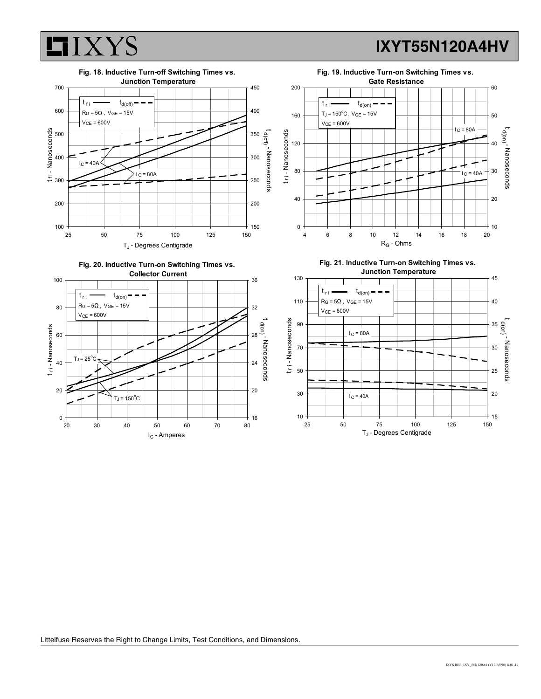







Fig. 21. Inductive Turn-on Switching Times vs. Junction Temperature<br>
145



Littelfuse Reserves the Right to Change Limits, Test Conditions, and Dimensions.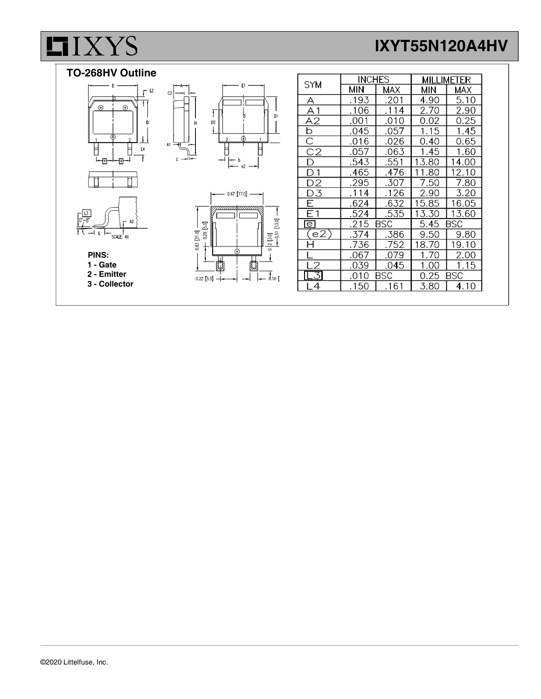# **LIXYS**

## IXYT55N120A4HV



l,

|                    | <b>INCHES</b> |            | <b>MILLIMETER</b>  |       |
|--------------------|---------------|------------|--------------------|-------|
| <b>SYM</b>         | MIN           | MAX        | МIИ                | MAX   |
| Α                  | .193          | .201       | 4.90               | 5.10  |
| Α1                 | .106          | .114       | 2.70               | 2.90  |
| А2                 | .001          | .010       | 0.02               | 0.25  |
| b                  | .045          | .057       | 1.15               | 1.45  |
| $\overline{\rm C}$ | .016          | .026       | 0.40               | 0.65  |
| C <sub>2</sub>     | .057          | .063       | 1.45               | 1.60  |
| D                  | .543          | .551       | 13.80              | 14.00 |
| D 1                | .465          | .476       | 1.80               | 12.10 |
| D2                 | .295          | .307       | 7.50               | 7.80  |
| D3                 | .114          | .126       | 2.90               | 3.20  |
| F.                 | .624          | .632       | 15.85              | 16.05 |
| E1                 | .524          | .535       | 13.30              | 13.60 |
| $\overline{e}$     | .215          | <b>BSC</b> | <b>BSC</b><br>5.45 |       |
| (e2)               | .374          | .386       | 9.50               | 9.80  |
|                    | .736          | .752       | 18.70              | 19.10 |
|                    | .067          | .079       | 1.70               | 2.00  |
|                    | .039          | .045       | 1.00               | 1.15  |
| $-3$               | .010          | BSC        | 0.25               | BSC   |
| 4                  | .150          | .161       | 3.80               | 4.10  |